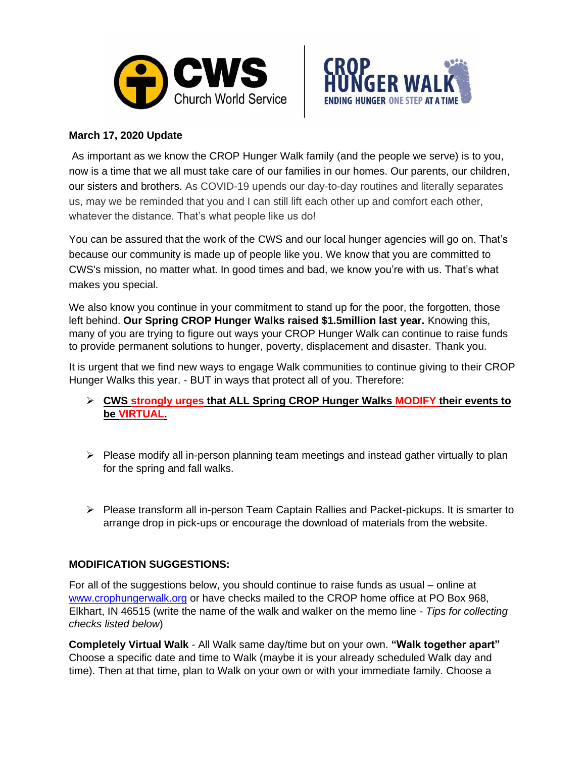



## **March 17, 2020 Update**

As important as we know the CROP Hunger Walk family (and the people we serve) is to you, now is a time that we all must take care of our families in our homes. Our parents, our children, our sisters and brothers. As COVID-19 upends our day-to-day routines and literally separates us, may we be reminded that you and I can still lift each other up and comfort each other, whatever the distance. That's what people like us do!

You can be assured that the work of the CWS and our local hunger agencies will go on. That's because our community is made up of people like you. We know that you are committed to CWS's mission, no matter what. In good times and bad, we know you're with us. That's what makes you special.

We also know you continue in your commitment to stand up for the poor, the forgotten, those left behind. **Our Spring CROP Hunger Walks raised \$1.5million last year.** Knowing this, many of you are trying to figure out ways your CROP Hunger Walk can continue to raise funds to provide permanent solutions to hunger, poverty, displacement and disaster. Thank you.

It is urgent that we find new ways to engage Walk communities to continue giving to their CROP Hunger Walks this year. - BUT in ways that protect all of you. Therefore:

- ➢ **CWS strongly urges that ALL Spring CROP Hunger Walks MODIFY their events to be VIRTUAL.**
- $\triangleright$  Please modify all in-person planning team meetings and instead gather virtually to plan for the spring and fall walks.
- ➢ Please transform all in-person Team Captain Rallies and Packet-pickups. It is smarter to arrange drop in pick-ups or encourage the download of materials from the website.

## **MODIFICATION SUGGESTIONS:**

For all of the suggestions below, you should continue to raise funds as usual – online at www.crophungerwalk.org or have checks mailed to the CROP home office at PO Box 968, Elkhart, IN 46515 (write the name of the walk and walker on the memo line - *Tips for collecting checks listed below*)

**Completely Virtual Walk** - All Walk same day/time but on your own. **"Walk together apart"** Choose a specific date and time to Walk (maybe it is your already scheduled Walk day and time). Then at that time, plan to Walk on your own or with your immediate family. Choose a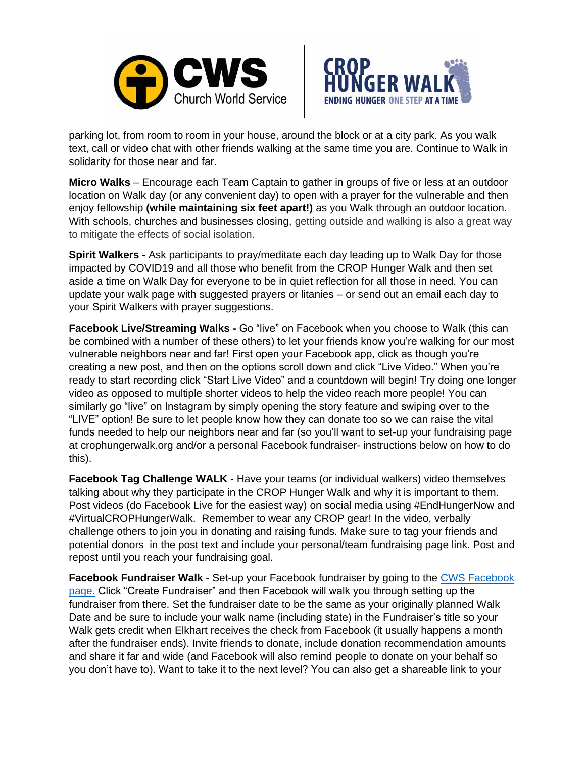



parking lot, from room to room in your house, around the block or at a city park. As you walk text, call or video chat with other friends walking at the same time you are. Continue to Walk in solidarity for those near and far.

**Micro Walks** – Encourage each Team Captain to gather in groups of five or less at an outdoor location on Walk day (or any convenient day) to open with a prayer for the vulnerable and then enjoy fellowship **(while maintaining six feet apart!)** as you Walk through an outdoor location. With schools, churches and businesses closing, getting outside and walking is also a great way to mitigate the effects of social isolation.

**Spirit Walkers -** Ask participants to pray/meditate each day leading up to Walk Day for those impacted by COVID19 and all those who benefit from the CROP Hunger Walk and then set aside a time on Walk Day for everyone to be in quiet reflection for all those in need. You can update your walk page with suggested prayers or litanies – or send out an email each day to your Spirit Walkers with prayer suggestions.

**Facebook Live/Streaming Walks -** Go "live" on Facebook when you choose to Walk (this can be combined with a number of these others) to let your friends know you're walking for our most vulnerable neighbors near and far! First open your Facebook app, click as though you're creating a new post, and then on the options scroll down and click "Live Video." When you're ready to start recording click "Start Live Video" and a countdown will begin! Try doing one longer video as opposed to multiple shorter videos to help the video reach more people! You can similarly go "live" on Instagram by simply opening the story feature and swiping over to the "LIVE" option! Be sure to let people know how they can donate too so we can raise the vital funds needed to help our neighbors near and far (so you'll want to set-up your fundraising page at crophungerwalk.org and/or a personal Facebook fundraiser- instructions below on how to do this).

**Facebook Tag Challenge WALK** - Have your teams (or individual walkers) video themselves talking about why they participate in the CROP Hunger Walk and why it is important to them. Post videos (do Facebook Live for the easiest way) on social media using #EndHungerNow and #VirtualCROPHungerWalk. Remember to wear any CROP gear! In the video, verbally challenge others to join you in donating and raising funds. Make sure to tag your friends and potential donors in the post text and include your personal/team fundraising page link. Post and repost until you reach your fundraising goal.

**Facebook Fundraiser Walk -** Set-up your Facebook fundraiser by going to the CWS Facebook [page.](http://www.facebook.com/churchworldservice) Click "Create Fundraiser" and then Facebook will walk you through setting up the fundraiser from there. Set the fundraiser date to be the same as your originally planned Walk Date and be sure to include your walk name (including state) in the Fundraiser's title so your Walk gets credit when Elkhart receives the check from Facebook (it usually happens a month after the fundraiser ends). Invite friends to donate, include donation recommendation amounts and share it far and wide (and Facebook will also remind people to donate on your behalf so you don't have to). Want to take it to the next level? You can also get a shareable link to your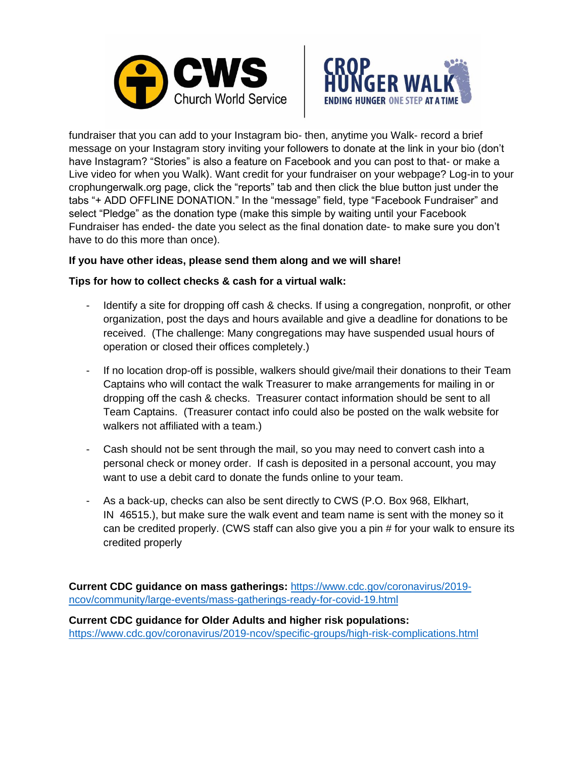



fundraiser that you can add to your Instagram bio- then, anytime you Walk- record a brief message on your Instagram story inviting your followers to donate at the link in your bio (don't have Instagram? "Stories" is also a feature on Facebook and you can post to that- or make a Live video for when you Walk). Want credit for your fundraiser on your webpage? Log-in to your crophungerwalk.org page, click the "reports" tab and then click the blue button just under the tabs "+ ADD OFFLINE DONATION." In the "message" field, type "Facebook Fundraiser" and select "Pledge" as the donation type (make this simple by waiting until your Facebook Fundraiser has ended- the date you select as the final donation date- to make sure you don't have to do this more than once).

## **If you have other ideas, please send them along and we will share!**

## **Tips for how to collect checks & cash for a virtual walk:**

- Identify a site for dropping off cash & checks. If using a congregation, nonprofit, or other organization, post the days and hours available and give a deadline for donations to be received. (The challenge: Many congregations may have suspended usual hours of operation or closed their offices completely.)
- If no location drop-off is possible, walkers should give/mail their donations to their Team Captains who will contact the walk Treasurer to make arrangements for mailing in or dropping off the cash & checks. Treasurer contact information should be sent to all Team Captains. (Treasurer contact info could also be posted on the walk website for walkers not affiliated with a team.)
- Cash should not be sent through the mail, so you may need to convert cash into a personal check or money order. If cash is deposited in a personal account, you may want to use a debit card to donate the funds online to your team.
- As a back-up, checks can also be sent directly to CWS (P.O. Box 968, Elkhart, IN 46515.), but make sure the walk event and team name is sent with the money so it can be credited properly. (CWS staff can also give you a pin # for your walk to ensure its credited properly

**Current CDC guidance on mass gatherings:** [https://www.cdc.gov/coronavirus/2019](https://www.cdc.gov/coronavirus/2019-ncov/community/large-events/mass-gatherings-ready-for-covid-19.html) [ncov/community/large-events/mass-gatherings-ready-for-covid-19.html](https://www.cdc.gov/coronavirus/2019-ncov/community/large-events/mass-gatherings-ready-for-covid-19.html)

**Current CDC guidance for Older Adults and higher risk populations:**  <https://www.cdc.gov/coronavirus/2019-ncov/specific-groups/high-risk-complications.html>